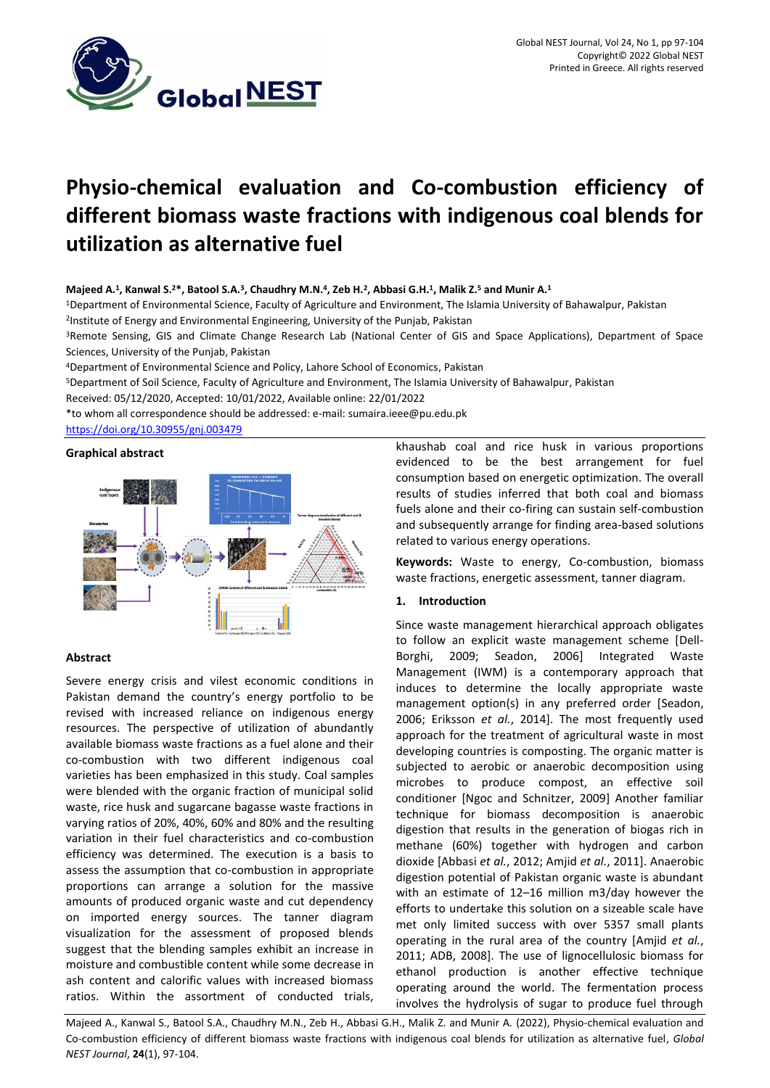

# **Physio-chemical evaluation and Co-combustion efficiency of different biomass waste fractions with indigenous coal blends for utilization as alternative fuel**

# **Majeed A.<sup>1</sup> , Kanwal S.<sup>2</sup>\*, Batool S.A.<sup>3</sup> , Chaudhry M.N.<sup>4</sup> , Zeb H.<sup>2</sup> , Abbasi G.H.<sup>1</sup> , Malik Z.<sup>5</sup> and Munir A.<sup>1</sup>**

<sup>1</sup>Department of Environmental Science, Faculty of Agriculture and Environment, The Islamia University of Bahawalpur, Pakistan

<sup>2</sup>Institute of Energy and Environmental Engineering, University of the Punjab, Pakistan

<sup>3</sup>Remote Sensing, GIS and Climate Change Research Lab (National Center of GIS and Space Applications), Department of Space Sciences, University of the Punjab, Pakistan

<sup>4</sup>Department of Environmental Science and Policy, Lahore School of Economics, Pakistan

<sup>5</sup>Department of Soil Science, Faculty of Agriculture and Environment, The Islamia University of Bahawalpur, Pakistan

Received: 05/12/2020, Accepted: 10/01/2022, Available online: 22/01/2022

\*to whom all correspondence should be addressed: e-mail[: sumaira.ieee@pu.edu.pk](mailto:sumaira.ieee@pu.edu.pk) <https://doi.org/10.30955/gnj.003479>

# **Graphical abstract**



# **Abstract**

Severe energy crisis and vilest economic conditions in Pakistan demand the country's energy portfolio to be revised with increased reliance on indigenous energy resources. The perspective of utilization of abundantly available biomass waste fractions as a fuel alone and their co-combustion with two different indigenous coal varieties has been emphasized in this study. Coal samples were blended with the organic fraction of municipal solid waste, rice husk and sugarcane bagasse waste fractions in varying ratios of 20%, 40%, 60% and 80% and the resulting variation in their fuel characteristics and co-combustion efficiency was determined. The execution is a basis to assess the assumption that co-combustion in appropriate proportions can arrange a solution for the massive amounts of produced organic waste and cut dependency on imported energy sources. The tanner diagram visualization for the assessment of proposed blends suggest that the blending samples exhibit an increase in moisture and combustible content while some decrease in ash content and calorific values with increased biomass ratios. Within the assortment of conducted trials,

khaushab coal and rice husk in various proportions evidenced to be the best arrangement for fuel consumption based on energetic optimization. The overall results of studies inferred that both coal and biomass fuels alone and their co-firing can sustain self-combustion and subsequently arrange for finding area-based solutions related to various energy operations.

**Keywords:** Waste to energy, Co-combustion, biomass waste fractions, energetic assessment, tanner diagram.

# **1. Introduction**

Since waste management hierarchical approach obligates to follow an explicit waste management scheme [Dell-Borghi, 2009; Seadon, 2006] Integrated Waste Management (IWM) is a contemporary approach that induces to determine the locally appropriate waste management option(s) in any preferred order [Seadon, 2006; Eriksson *et al.*, 2014]. The most frequently used approach for the treatment of agricultural waste in most developing countries is composting. The organic matter is subjected to aerobic or anaerobic decomposition using microbes to produce compost, an effective soil conditioner [Ngoc and Schnitzer, 2009] Another familiar technique for biomass decomposition is anaerobic digestion that results in the generation of biogas rich in methane (60%) together with hydrogen and carbon dioxide [Abbasi *et al.*, 2012; Amjid *et al.*, 2011]. Anaerobic digestion potential of Pakistan organic waste is abundant with an estimate of 12–16 million m3/day however the efforts to undertake this solution on a sizeable scale have met only limited success with over 5357 small plants operating in the rural area of the country [Amjid *et al.*, 2011; ADB, 2008]. The use of lignocellulosic biomass for ethanol production is another effective technique operating around the world. The fermentation process involves the hydrolysis of sugar to produce fuel through

Majeed A., Kanwal S., Batool S.A., Chaudhry M.N., Zeb H., Abbasi G.H., Malik Z. and Munir A. (2022), Physio-chemical evaluation and Co-combustion efficiency of different biomass waste fractions with indigenous coal blends for utilization as alternative fuel, *Global NEST Journal*, **24**(1), 97-104.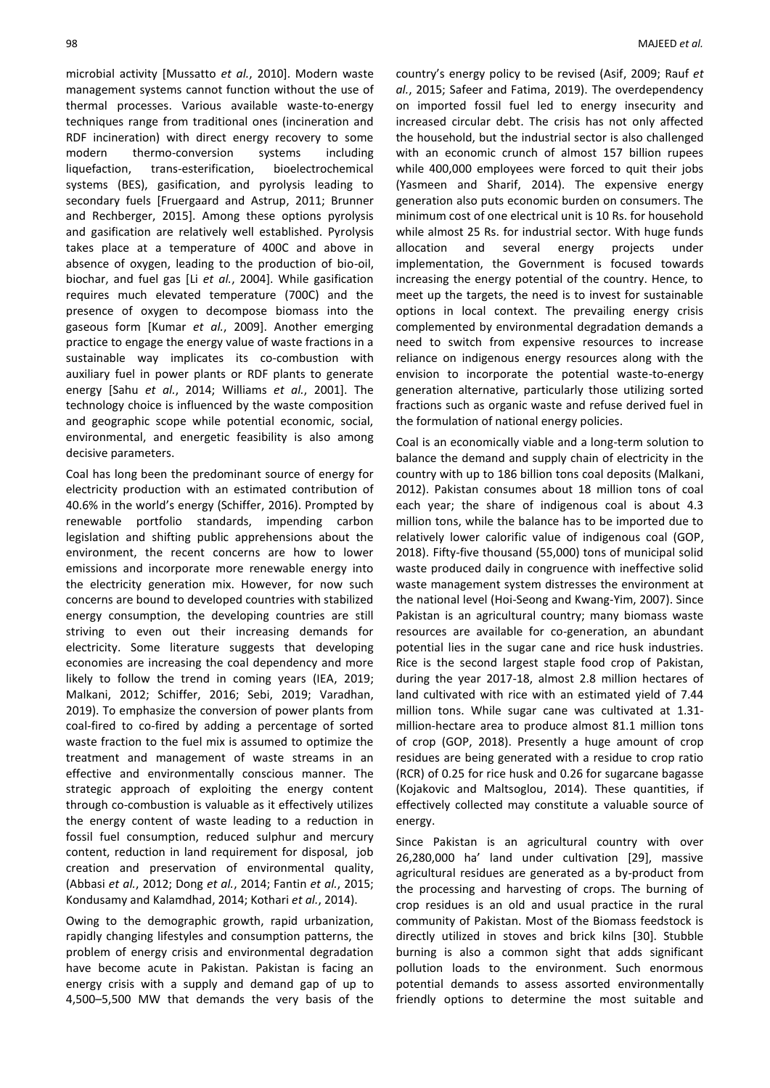microbial activity [Mussatto *et al.*, 2010]. Modern waste management systems cannot function without the use of thermal processes. Various available waste-to-energy techniques range from traditional ones (incineration and RDF incineration) with direct energy recovery to some modern thermo-conversion systems including liquefaction, trans-esterification, bioelectrochemical systems (BES), gasification, and pyrolysis leading to secondary fuels [Fruergaard and Astrup, 2011; Brunner and Rechberger, 2015]. Among these options pyrolysis and gasification are relatively well established. Pyrolysis takes place at a temperature of 400C and above in absence of oxygen, leading to the production of bio-oil, biochar, and fuel gas [Li *et al.*, 2004]. While gasification requires much elevated temperature (700C) and the presence of oxygen to decompose biomass into the gaseous form [Kumar *et al.*, 2009]. Another emerging practice to engage the energy value of waste fractions in a sustainable way implicates its co-combustion with auxiliary fuel in power plants or RDF plants to generate energy [Sahu *et al.*, 2014; Williams *et al.*, 2001]. The technology choice is influenced by the waste composition and geographic scope while potential economic, social, environmental, and energetic feasibility is also among decisive parameters.

Coal has long been the predominant source of energy for electricity production with an estimated contribution of 40.6% in the world's energy (Schiffer, 2016). Prompted by renewable portfolio standards, impending carbon legislation and shifting public apprehensions about the environment, the recent concerns are how to lower emissions and incorporate more renewable energy into the electricity generation mix. However, for now such concerns are bound to developed countries with stabilized energy consumption, the developing countries are still striving to even out their increasing demands for electricity. Some literature suggests that developing economies are increasing the coal dependency and more likely to follow the trend in coming years (IEA, 2019; Malkani, 2012; Schiffer, 2016; Sebi, 2019; Varadhan, 2019). To emphasize the conversion of power plants from coal-fired to co-fired by adding a percentage of sorted waste fraction to the fuel mix is assumed to optimize the treatment and management of waste streams in an effective and environmentally conscious manner. The strategic approach of exploiting the energy content through co-combustion is valuable as it effectively utilizes the energy content of waste leading to a reduction in fossil fuel consumption, reduced sulphur and mercury content, reduction in land requirement for disposal, job creation and preservation of environmental quality, (Abbasi *et al.*, 2012; Dong *et al.*, 2014; Fantin *et al.*, 2015; Kondusamy and Kalamdhad, 2014; Kothari *et al.*, 2014).

Owing to the demographic growth, rapid urbanization, rapidly changing lifestyles and consumption patterns, the problem of energy crisis and environmental degradation have become acute in Pakistan. Pakistan is facing an energy crisis with a supply and demand gap of up to 4,500–5,500 MW that demands the very basis of the country's energy policy to be revised (Asif, 2009; Rauf *et al.*, 2015; Safeer and Fatima, 2019). The overdependency on imported fossil fuel led to energy insecurity and increased circular debt. The crisis has not only affected the household, but the industrial sector is also challenged with an economic crunch of almost 157 billion rupees while 400,000 employees were forced to quit their jobs (Yasmeen and Sharif, 2014). The expensive energy generation also puts economic burden on consumers. The minimum cost of one electrical unit is 10 Rs. for household while almost 25 Rs. for industrial sector. With huge funds allocation and several energy projects under implementation, the Government is focused towards increasing the energy potential of the country. Hence, to meet up the targets, the need is to invest for sustainable options in local context. The prevailing energy crisis complemented by environmental degradation demands a need to switch from expensive resources to increase reliance on indigenous energy resources along with the envision to incorporate the potential waste-to-energy generation alternative, particularly those utilizing sorted fractions such as organic waste and refuse derived fuel in the formulation of national energy policies.

Coal is an economically viable and a long-term solution to balance the demand and supply chain of electricity in the country with up to 186 billion tons coal deposits (Malkani, 2012). Pakistan consumes about 18 million tons of coal each year; the share of indigenous coal is about 4.3 million tons, while the balance has to be imported due to relatively lower calorific value of indigenous coal (GOP, 2018). Fifty-five thousand (55,000) tons of municipal solid waste produced daily in congruence with ineffective solid waste management system distresses the environment at the national level (Hoi-Seong and Kwang-Yim, 2007). Since Pakistan is an agricultural country; many biomass waste resources are available for co-generation, an abundant potential lies in the sugar cane and rice husk industries. Rice is the second largest staple food crop of Pakistan, during the year 2017-18, almost 2.8 million hectares of land cultivated with rice with an estimated yield of 7.44 million tons. While sugar cane was cultivated at 1.31 million-hectare area to produce almost 81.1 million tons of crop (GOP, 2018). Presently a huge amount of crop residues are being generated with a residue to crop ratio (RCR) of 0.25 for rice husk and 0.26 for sugarcane bagasse (Kojakovic and Maltsoglou, 2014). These quantities, if effectively collected may constitute a valuable source of energy.

Since Pakistan is an agricultural country with over 26,280,000 ha' land under cultivation [29], massive agricultural residues are generated as a by-product from the processing and harvesting of crops. The burning of crop residues is an old and usual practice in the rural community of Pakistan. Most of the Biomass feedstock is directly utilized in stoves and brick kilns [30]. Stubble burning is also a common sight that adds significant pollution loads to the environment. Such enormous potential demands to assess assorted environmentally friendly options to determine the most suitable and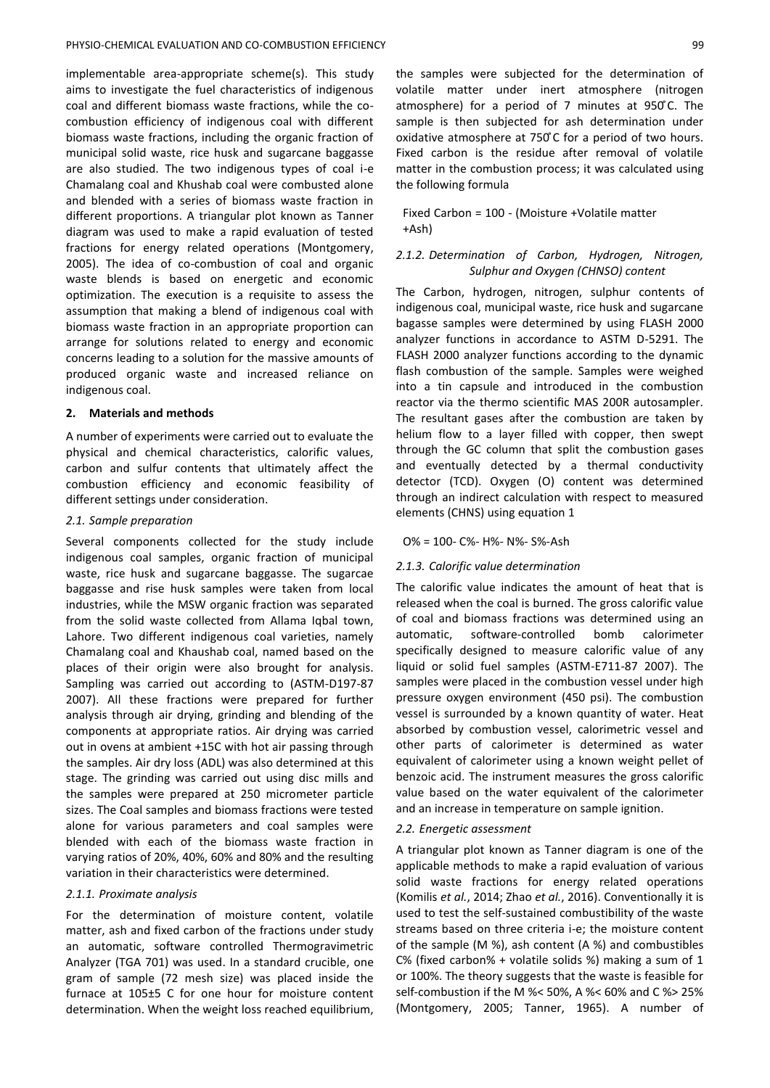implementable area-appropriate scheme(s). This study aims to investigate the fuel characteristics of indigenous coal and different biomass waste fractions, while the cocombustion efficiency of indigenous coal with different biomass waste fractions, including the organic fraction of municipal solid waste, rice husk and sugarcane baggasse are also studied. The two indigenous types of coal i-e Chamalang coal and Khushab coal were combusted alone and blended with a series of biomass waste fraction in different proportions. A triangular plot known as Tanner diagram was used to make a rapid evaluation of tested fractions for energy related operations (Montgomery, 2005). The idea of co-combustion of coal and organic waste blends is based on energetic and economic optimization. The execution is a requisite to assess the assumption that making a blend of indigenous coal with biomass waste fraction in an appropriate proportion can arrange for solutions related to energy and economic concerns leading to a solution for the massive amounts of produced organic waste and increased reliance on indigenous coal.

## **2. Materials and methods**

A number of experiments were carried out to evaluate the physical and chemical characteristics, calorific values, carbon and sulfur contents that ultimately affect the combustion efficiency and economic feasibility of different settings under consideration.

#### *2.1. Sample preparation*

Several components collected for the study include indigenous coal samples, organic fraction of municipal waste, rice husk and sugarcane baggasse. The sugarcae baggasse and rise husk samples were taken from local industries, while the MSW organic fraction was separated from the solid waste collected from Allama Iqbal town, Lahore. Two different indigenous coal varieties, namely Chamalang coal and Khaushab coal, named based on the places of their origin were also brought for analysis. Sampling was carried out according to (ASTM-D197-87 2007). All these fractions were prepared for further analysis through air drying, grinding and blending of the components at appropriate ratios. Air drying was carried out in ovens at ambient +15C with hot air passing through the samples. Air dry loss (ADL) was also determined at this stage. The grinding was carried out using disc mills and the samples were prepared at 250 micrometer particle sizes. The Coal samples and biomass fractions were tested alone for various parameters and coal samples were blended with each of the biomass waste fraction in varying ratios of 20%, 40%, 60% and 80% and the resulting variation in their characteristics were determined.

#### *2.1.1. Proximate analysis*

For the determination of moisture content, volatile matter, ash and fixed carbon of the fractions under study an automatic, software controlled Thermogravimetric Analyzer (TGA 701) was used. In a standard crucible, one gram of sample (72 mesh size) was placed inside the furnace at 105±5 C for one hour for moisture content determination. When the weight loss reached equilibrium,

Fixed Carbon = 100 - (Moisture +Volatile matter +Ash)

# *2.1.2. Determination of Carbon, Hydrogen, Nitrogen, Sulphur and Oxygen (CHNSO) content*

The Carbon, hydrogen, nitrogen, sulphur contents of indigenous coal, municipal waste, rice husk and sugarcane bagasse samples were determined by using FLASH 2000 analyzer functions in accordance to ASTM D-5291. The FLASH 2000 analyzer functions according to the dynamic flash combustion of the sample. Samples were weighed into a tin capsule and introduced in the combustion reactor via the thermo scientific MAS 200R autosampler. The resultant gases after the combustion are taken by helium flow to a layer filled with copper, then swept through the GC column that split the combustion gases and eventually detected by a thermal conductivity detector (TCD). Oxygen (O) content was determined through an indirect calculation with respect to measured elements (CHNS) using equation 1

#### O% = 100- C%- H%- N%- S%-Ash

## *2.1.3. Calorific value determination*

The calorific value indicates the amount of heat that is released when the coal is burned. The gross calorific value of coal and biomass fractions was determined using an automatic, software-controlled bomb calorimeter specifically designed to measure calorific value of any liquid or solid fuel samples (ASTM-E711-87 2007). The samples were placed in the combustion vessel under high pressure oxygen environment (450 psi). The combustion vessel is surrounded by a known quantity of water. Heat absorbed by combustion vessel, calorimetric vessel and other parts of calorimeter is determined as water equivalent of calorimeter using a known weight pellet of benzoic acid. The instrument measures the gross calorific value based on the water equivalent of the calorimeter and an increase in temperature on sample ignition.

#### *2.2. Energetic assessment*

A triangular plot known as Tanner diagram is one of the applicable methods to make a rapid evaluation of various solid waste fractions for energy related operations (Komilis *et al.*, 2014; Zhao *et al.*, 2016). Conventionally it is used to test the self-sustained combustibility of the waste streams based on three criteria i-e; the moisture content of the sample (M %), ash content (A %) and combustibles C% (fixed carbon% + volatile solids %) making a sum of 1 or 100%. The theory suggests that the waste is feasible for self-combustion if the M %< 50%, A %< 60% and C %> 25% (Montgomery, 2005; Tanner, 1965). A number of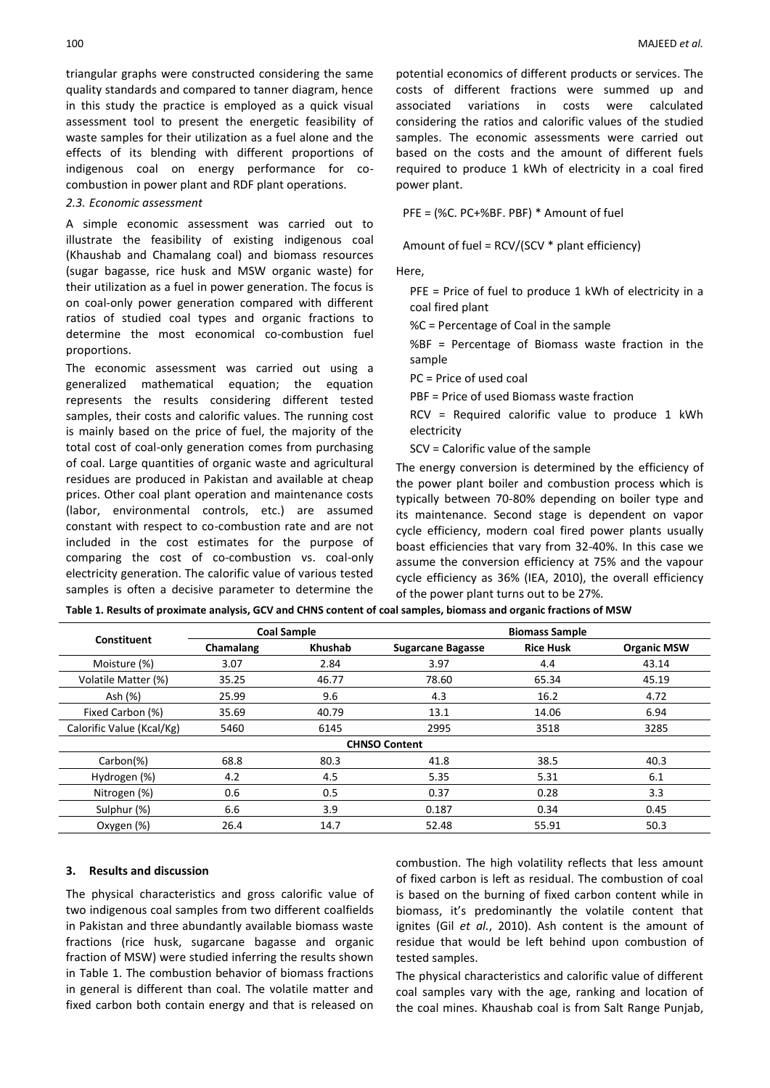triangular graphs were constructed considering the same quality standards and compared to tanner diagram, hence in this study the practice is employed as a quick visual assessment tool to present the energetic feasibility of waste samples for their utilization as a fuel alone and the effects of its blending with different proportions of indigenous coal on energy performance for cocombustion in power plant and RDF plant operations.

#### *2.3. Economic assessment*

A simple economic assessment was carried out to illustrate the feasibility of existing indigenous coal (Khaushab and Chamalang coal) and biomass resources (sugar bagasse, rice husk and MSW organic waste) for their utilization as a fuel in power generation. The focus is on coal-only power generation compared with different ratios of studied coal types and organic fractions to determine the most economical co-combustion fuel proportions.

The economic assessment was carried out using a generalized mathematical equation; the equation represents the results considering different tested samples, their costs and calorific values. The running cost is mainly based on the price of fuel, the majority of the total cost of coal-only generation comes from purchasing of coal. Large quantities of organic waste and agricultural residues are produced in Pakistan and available at cheap prices. Other coal plant operation and maintenance costs (labor, environmental controls, etc.) are assumed constant with respect to co-combustion rate and are not included in the cost estimates for the purpose of comparing the cost of co-combustion vs. coal-only electricity generation. The calorific value of various tested samples is often a decisive parameter to determine the

potential economics of different products or services. The costs of different fractions were summed up and associated variations in costs were calculated considering the ratios and calorific values of the studied samples. The economic assessments were carried out based on the costs and the amount of different fuels required to produce 1 kWh of electricity in a coal fired power plant.

PFE = (%C. PC+%BF. PBF) \* Amount of fuel

Amount of fuel = RCV/(SCV \* plant efficiency)

Here,

PFE = Price of fuel to produce 1 kWh of electricity in a coal fired plant

%C = Percentage of Coal in the sample

%BF = Percentage of Biomass waste fraction in the sample

PC = Price of used coal

- PBF = Price of used Biomass waste fraction
- RCV = Required calorific value to produce 1 kWh electricity

SCV = Calorific value of the sample

The energy conversion is determined by the efficiency of the power plant boiler and combustion process which is typically between 70-80% depending on boiler type and its maintenance. Second stage is dependent on vapor cycle efficiency, modern coal fired power plants usually boast efficiencies that vary from 32-40%. In this case we assume the conversion efficiency at 75% and the vapour cycle efficiency as 36% (IEA, 2010), the overall efficiency of the power plant turns out to be 27%.

|  |  | Table 1. Results of proximate analysis, GCV and CHNS content of coal samples, biomass and organic fractions of MSW |
|--|--|--------------------------------------------------------------------------------------------------------------------|
|--|--|--------------------------------------------------------------------------------------------------------------------|

| Constituent               |           | <b>Coal Sample</b> | <b>Biomass Sample</b>    |                  |                    |  |  |
|---------------------------|-----------|--------------------|--------------------------|------------------|--------------------|--|--|
|                           | Chamalang | <b>Khushab</b>     | <b>Sugarcane Bagasse</b> | <b>Rice Husk</b> | <b>Organic MSW</b> |  |  |
| Moisture (%)              | 3.07      | 2.84               | 3.97                     | 4.4              | 43.14              |  |  |
| Volatile Matter (%)       | 35.25     | 46.77              | 78.60                    | 65.34            | 45.19              |  |  |
| Ash (%)                   | 25.99     | 9.6                | 4.3                      | 16.2             | 4.72               |  |  |
| Fixed Carbon (%)          | 35.69     | 40.79              | 13.1                     | 14.06            | 6.94               |  |  |
| Calorific Value (Kcal/Kg) | 5460      | 6145               | 2995                     | 3518             | 3285               |  |  |
| <b>CHNSO Content</b>      |           |                    |                          |                  |                    |  |  |
| $Carbon(\%)$              | 68.8      | 80.3               | 41.8                     | 38.5             | 40.3               |  |  |
| Hydrogen (%)              | 4.2       | 4.5                | 5.35                     | 5.31             | 6.1                |  |  |
| Nitrogen (%)              | 0.6       | 0.5                | 0.37                     | 0.28             | 3.3                |  |  |
| Sulphur (%)               | 6.6       | 3.9                | 0.187                    | 0.34             | 0.45               |  |  |
| Oxygen (%)                | 26.4      | 14.7               | 52.48                    | 55.91            | 50.3               |  |  |

#### **3. Results and discussion**

The physical characteristics and gross calorific value of two indigenous coal samples from two different coalfields in Pakistan and three abundantly available biomass waste fractions (rice husk, sugarcane bagasse and organic fraction of MSW) were studied inferring the results shown in Table 1. The combustion behavior of biomass fractions in general is different than coal. The volatile matter and fixed carbon both contain energy and that is released on

combustion. The high volatility reflects that less amount of fixed carbon is left as residual. The combustion of coal is based on the burning of fixed carbon content while in biomass, it's predominantly the volatile content that ignites (Gil *et al.*, 2010). Ash content is the amount of residue that would be left behind upon combustion of tested samples.

The physical characteristics and calorific value of different coal samples vary with the age, ranking and location of the coal mines. Khaushab coal is from Salt Range Punjab,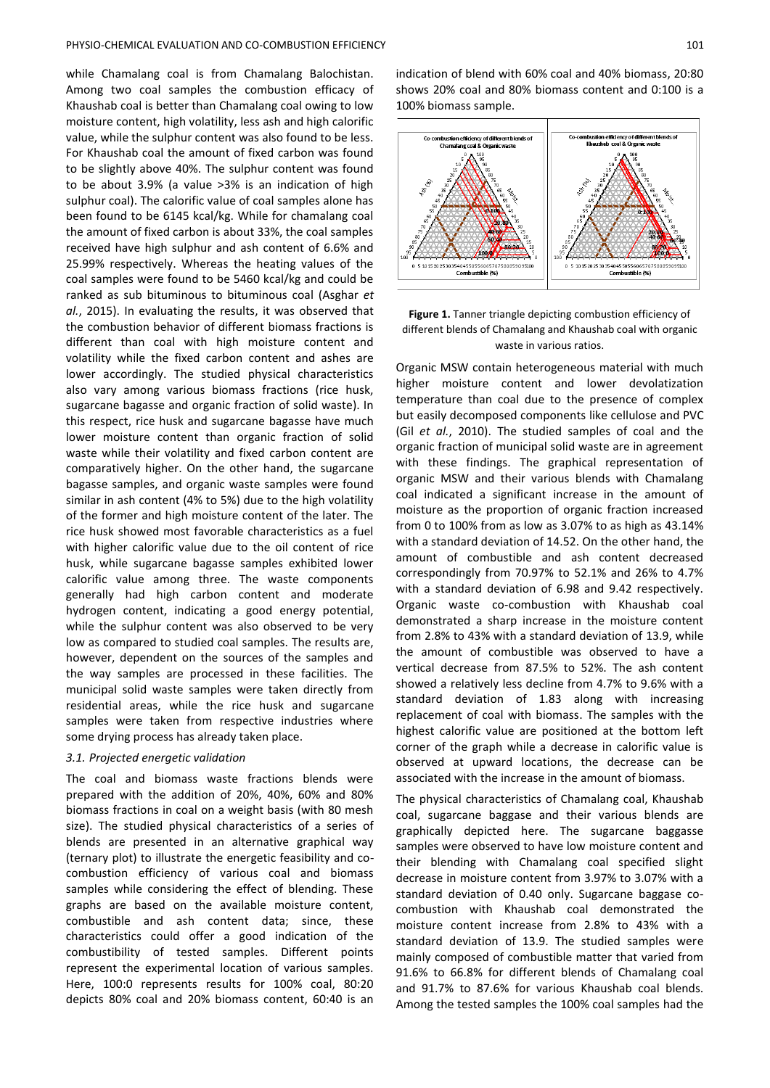while Chamalang coal is from Chamalang Balochistan. Among two coal samples the combustion efficacy of Khaushab coal is better than Chamalang coal owing to low moisture content, high volatility, less ash and high calorific value, while the sulphur content was also found to be less. For Khaushab coal the amount of fixed carbon was found to be slightly above 40%. The sulphur content was found to be about 3.9% (a value >3% is an indication of high sulphur coal). The calorific value of coal samples alone has been found to be 6145 kcal/kg. While for chamalang coal the amount of fixed carbon is about 33%, the coal samples received have high sulphur and ash content of 6.6% and 25.99% respectively. Whereas the heating values of the coal samples were found to be 5460 kcal/kg and could be ranked as sub bituminous to bituminous coal (Asghar *et al.*, 2015). In evaluating the results, it was observed that the combustion behavior of different biomass fractions is different than coal with high moisture content and volatility while the fixed carbon content and ashes are lower accordingly. The studied physical characteristics also vary among various biomass fractions (rice husk, sugarcane bagasse and organic fraction of solid waste). In this respect, rice husk and sugarcane bagasse have much lower moisture content than organic fraction of solid waste while their volatility and fixed carbon content are comparatively higher. On the other hand, the sugarcane bagasse samples, and organic waste samples were found similar in ash content (4% to 5%) due to the high volatility of the former and high moisture content of the later. The rice husk showed most favorable characteristics as a fuel with higher calorific value due to the oil content of rice husk, while sugarcane bagasse samples exhibited lower calorific value among three. The waste components generally had high carbon content and moderate hydrogen content, indicating a good energy potential, while the sulphur content was also observed to be very low as compared to studied coal samples. The results are, however, dependent on the sources of the samples and the way samples are processed in these facilities. The municipal solid waste samples were taken directly from residential areas, while the rice husk and sugarcane samples were taken from respective industries where some drying process has already taken place.

## *3.1. Projected energetic validation*

The coal and biomass waste fractions blends were prepared with the addition of 20%, 40%, 60% and 80% biomass fractions in coal on a weight basis (with 80 mesh size). The studied physical characteristics of a series of blends are presented in an alternative graphical way (ternary plot) to illustrate the energetic feasibility and cocombustion efficiency of various coal and biomass samples while considering the effect of blending. These graphs are based on the available moisture content, combustible and ash content data; since, these characteristics could offer a good indication of the combustibility of tested samples. Different points represent the experimental location of various samples. Here, 100:0 represents results for 100% coal, 80:20 depicts 80% coal and 20% biomass content, 60:40 is an

indication of blend with 60% coal and 40% biomass, 20:80 shows 20% coal and 80% biomass content and 0:100 is a 100% biomass sample.



**Figure 1.** Tanner triangle depicting combustion efficiency of different blends of Chamalang and Khaushab coal with organic waste in various ratios.

Organic MSW contain heterogeneous material with much higher moisture content and lower devolatization temperature than coal due to the presence of complex but easily decomposed components like cellulose and PVC (Gil *et al.*, 2010). The studied samples of coal and the organic fraction of municipal solid waste are in agreement with these findings. The graphical representation of organic MSW and their various blends with Chamalang coal indicated a significant increase in the amount of moisture as the proportion of organic fraction increased from 0 to 100% from as low as 3.07% to as high as 43.14% with a standard deviation of 14.52. On the other hand, the amount of combustible and ash content decreased correspondingly from 70.97% to 52.1% and 26% to 4.7% with a standard deviation of 6.98 and 9.42 respectively. Organic waste co-combustion with Khaushab coal demonstrated a sharp increase in the moisture content from 2.8% to 43% with a standard deviation of 13.9, while the amount of combustible was observed to have a vertical decrease from 87.5% to 52%. The ash content showed a relatively less decline from 4.7% to 9.6% with a standard deviation of 1.83 along with increasing replacement of coal with biomass. The samples with the highest calorific value are positioned at the bottom left corner of the graph while a decrease in calorific value is observed at upward locations, the decrease can be associated with the increase in the amount of biomass.

The physical characteristics of Chamalang coal, Khaushab coal, sugarcane baggase and their various blends are graphically depicted here. The sugarcane baggasse samples were observed to have low moisture content and their blending with Chamalang coal specified slight decrease in moisture content from 3.97% to 3.07% with a standard deviation of 0.40 only. Sugarcane baggase cocombustion with Khaushab coal demonstrated the moisture content increase from 2.8% to 43% with a standard deviation of 13.9. The studied samples were mainly composed of combustible matter that varied from 91.6% to 66.8% for different blends of Chamalang coal and 91.7% to 87.6% for various Khaushab coal blends. Among the tested samples the 100% coal samples had the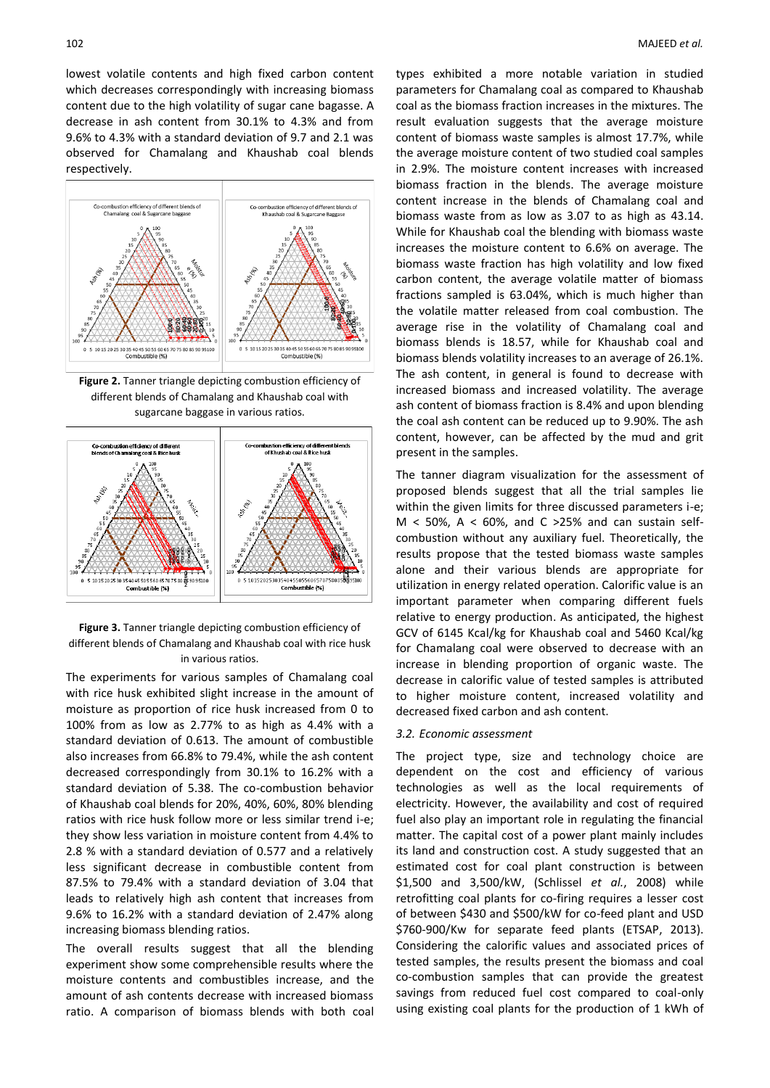lowest volatile contents and high fixed carbon content which decreases correspondingly with increasing biomass content due to the high volatility of sugar cane bagasse. A decrease in ash content from 30.1% to 4.3% and from 9.6% to 4.3% with a standard deviation of 9.7 and 2.1 was observed for Chamalang and Khaushab coal blends respectively.



**Figure 2.** Tanner triangle depicting combustion efficiency of different blends of Chamalang and Khaushab coal with sugarcane baggase in various ratios.



**Figure 3.** Tanner triangle depicting combustion efficiency of different blends of Chamalang and Khaushab coal with rice husk in various ratios.

The experiments for various samples of Chamalang coal with rice husk exhibited slight increase in the amount of moisture as proportion of rice husk increased from 0 to 100% from as low as 2.77% to as high as 4.4% with a standard deviation of 0.613. The amount of combustible also increases from 66.8% to 79.4%, while the ash content decreased correspondingly from 30.1% to 16.2% with a standard deviation of 5.38. The co-combustion behavior of Khaushab coal blends for 20%, 40%, 60%, 80% blending ratios with rice husk follow more or less similar trend i-e; they show less variation in moisture content from 4.4% to 2.8 % with a standard deviation of 0.577 and a relatively less significant decrease in combustible content from 87.5% to 79.4% with a standard deviation of 3.04 that leads to relatively high ash content that increases from 9.6% to 16.2% with a standard deviation of 2.47% along increasing biomass blending ratios.

The overall results suggest that all the blending experiment show some comprehensible results where the moisture contents and combustibles increase, and the amount of ash contents decrease with increased biomass ratio. A comparison of biomass blends with both coal types exhibited a more notable variation in studied parameters for Chamalang coal as compared to Khaushab coal as the biomass fraction increases in the mixtures. The result evaluation suggests that the average moisture content of biomass waste samples is almost 17.7%, while the average moisture content of two studied coal samples in 2.9%. The moisture content increases with increased biomass fraction in the blends. The average moisture content increase in the blends of Chamalang coal and biomass waste from as low as 3.07 to as high as 43.14. While for Khaushab coal the blending with biomass waste increases the moisture content to 6.6% on average. The biomass waste fraction has high volatility and low fixed carbon content, the average volatile matter of biomass fractions sampled is 63.04%, which is much higher than the volatile matter released from coal combustion. The average rise in the volatility of Chamalang coal and biomass blends is 18.57, while for Khaushab coal and biomass blends volatility increases to an average of 26.1%. The ash content, in general is found to decrease with increased biomass and increased volatility. The average ash content of biomass fraction is 8.4% and upon blending the coal ash content can be reduced up to 9.90%. The ash content, however, can be affected by the mud and grit present in the samples.

The tanner diagram visualization for the assessment of proposed blends suggest that all the trial samples lie within the given limits for three discussed parameters i-e;  $M < 50\%$ , A  $< 60\%$ , and C >25% and can sustain selfcombustion without any auxiliary fuel. Theoretically, the results propose that the tested biomass waste samples alone and their various blends are appropriate for utilization in energy related operation. Calorific value is an important parameter when comparing different fuels relative to energy production. As anticipated, the highest GCV of 6145 Kcal/kg for Khaushab coal and 5460 Kcal/kg for Chamalang coal were observed to decrease with an increase in blending proportion of organic waste. The decrease in calorific value of tested samples is attributed to higher moisture content, increased volatility and decreased fixed carbon and ash content.

## *3.2. Economic assessment*

The project type, size and technology choice are dependent on the cost and efficiency of various technologies as well as the local requirements of electricity. However, the availability and cost of required fuel also play an important role in regulating the financial matter. The capital cost of a power plant mainly includes its land and construction cost. A study suggested that an estimated cost for coal plant construction is between \$1,500 and 3,500/kW, (Schlissel *et al.*, 2008) while retrofitting coal plants for co-firing requires a lesser cost of between \$430 and \$500/kW for co-feed plant and USD \$760-900/Kw for separate feed plants (ETSAP, 2013). Considering the calorific values and associated prices of tested samples, the results present the biomass and coal co-combustion samples that can provide the greatest savings from reduced fuel cost compared to coal-only using existing coal plants for the production of 1 kWh of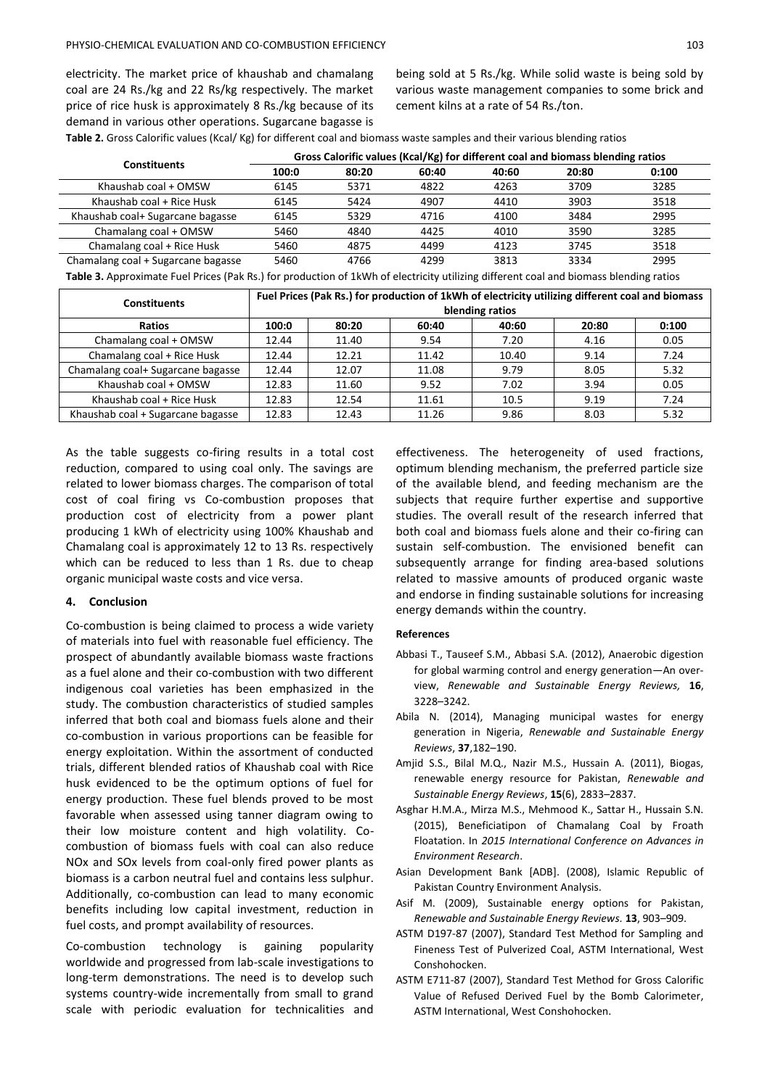electricity. The market price of khaushab and chamalang coal are 24 Rs./kg and 22 Rs/kg respectively. The market price of rice husk is approximately 8 Rs./kg because of its demand in various other operations. Sugarcane bagasse is

being sold at 5 Rs./kg. While solid waste is being sold by various waste management companies to some brick and cement kilns at a rate of 54 Rs./ton.

**Table 2.** Gross Calorific values (Kcal/ Kg) for different coal and biomass waste samples and their various blending ratios

| <b>Constituents</b>                | Gross Calorific values (Kcal/Kg) for different coal and biomass blending ratios |       |       |       |       |       |
|------------------------------------|---------------------------------------------------------------------------------|-------|-------|-------|-------|-------|
|                                    | 100:0                                                                           | 80:20 | 60:40 | 40:60 | 20:80 | 0:100 |
| Khaushab coal + OMSW               | 6145                                                                            | 5371  | 4822  | 4263  | 3709  | 3285  |
| Khaushab coal + Rice Husk          | 6145                                                                            | 5424  | 4907  | 4410  | 3903  | 3518  |
| Khaushab coal+ Sugarcane bagasse   | 6145                                                                            | 5329  | 4716  | 4100  | 3484  | 2995  |
| Chamalang coal + OMSW              | 5460                                                                            | 4840  | 4425  | 4010  | 3590  | 3285  |
| Chamalang coal + Rice Husk         | 5460                                                                            | 4875  | 4499  | 4123  | 3745  | 3518  |
| Chamalang coal + Sugarcane bagasse | 5460                                                                            | 4766  | 4299  | 3813  | 3334  | 2995  |

**Table 3.** Approximate Fuel Prices (Pak Rs.) for production of 1kWh of electricity utilizing different coal and biomass blending ratios

| <b>Constituents</b>               | Fuel Prices (Pak Rs.) for production of 1kWh of electricity utilizing different coal and biomass |       |       |       |       |       |
|-----------------------------------|--------------------------------------------------------------------------------------------------|-------|-------|-------|-------|-------|
|                                   | blending ratios                                                                                  |       |       |       |       |       |
| <b>Ratios</b>                     | 100:0                                                                                            | 80:20 | 60:40 | 40:60 | 20:80 | 0:100 |
| Chamalang coal + OMSW             | 12.44                                                                                            | 11.40 | 9.54  | 7.20  | 4.16  | 0.05  |
| Chamalang coal + Rice Husk        | 12.44                                                                                            | 12.21 | 11.42 | 10.40 | 9.14  | 7.24  |
| Chamalang coal+ Sugarcane bagasse | 12.44                                                                                            | 12.07 | 11.08 | 9.79  | 8.05  | 5.32  |
| Khaushab coal + OMSW              | 12.83                                                                                            | 11.60 | 9.52  | 7.02  | 3.94  | 0.05  |
| Khaushab coal + Rice Husk         | 12.83                                                                                            | 12.54 | 11.61 | 10.5  | 9.19  | 7.24  |
| Khaushab coal + Sugarcane bagasse | 12.83                                                                                            | 12.43 | 11.26 | 9.86  | 8.03  | 5.32  |

As the table suggests co-firing results in a total cost reduction, compared to using coal only. The savings are related to lower biomass charges. The comparison of total cost of coal firing vs Co-combustion proposes that production cost of electricity from a power plant producing 1 kWh of electricity using 100% Khaushab and Chamalang coal is approximately 12 to 13 Rs. respectively which can be reduced to less than 1 Rs. due to cheap organic municipal waste costs and vice versa.

## **4. Conclusion**

Co-combustion is being claimed to process a wide variety of materials into fuel with reasonable fuel efficiency. The prospect of abundantly available biomass waste fractions as a fuel alone and their co-combustion with two different indigenous coal varieties has been emphasized in the study. The combustion characteristics of studied samples inferred that both coal and biomass fuels alone and their co-combustion in various proportions can be feasible for energy exploitation. Within the assortment of conducted trials, different blended ratios of Khaushab coal with Rice husk evidenced to be the optimum options of fuel for energy production. These fuel blends proved to be most favorable when assessed using tanner diagram owing to their low moisture content and high volatility. Cocombustion of biomass fuels with coal can also reduce NOx and SOx levels from coal-only fired power plants as biomass is a carbon neutral fuel and contains less sulphur. Additionally, co-combustion can lead to many economic benefits including low capital investment, reduction in fuel costs, and prompt availability of resources.

Co-combustion technology is gaining popularity worldwide and progressed from lab-scale investigations to long-term demonstrations. The need is to develop such systems country-wide incrementally from small to grand scale with periodic evaluation for technicalities and

effectiveness. The heterogeneity of used fractions, optimum blending mechanism, the preferred particle size of the available blend, and feeding mechanism are the subjects that require further expertise and supportive studies. The overall result of the research inferred that both coal and biomass fuels alone and their co-firing can sustain self-combustion. The envisioned benefit can subsequently arrange for finding area-based solutions related to massive amounts of produced organic waste and endorse in finding sustainable solutions for increasing energy demands within the country.

## **References**

- Abbasi T., Tauseef S.M., Abbasi S.A. (2012), Anaerobic digestion for global warming control and energy generation—An overview, *Renewable and Sustainable Energy Reviews,* **16**, 3228–3242.
- Abila N. (2014), Managing municipal wastes for energy generation in Nigeria, *Renewable and Sustainable Energy Reviews*, **37**,182–190.
- Amjid S.S., Bilal M.Q., Nazir M.S., Hussain A. (2011), Biogas, renewable energy resource for Pakistan, *Renewable and Sustainable Energy Reviews*, **15**(6), 2833–2837.
- Asghar H.M.A., Mirza M.S., Mehmood K., Sattar H., Hussain S.N. (2015), Beneficiatipon of Chamalang Coal by Froath Floatation. In *2015 International Conference on Advances in Environment Research*.
- Asian Development Bank [ADB]. (2008), Islamic Republic of Pakistan Country Environment Analysis.
- Asif M. (2009), Sustainable energy options for Pakistan, *Renewable and Sustainable Energy Reviews.* **13**, 903–909.
- ASTM D197-87 (2007), Standard Test Method for Sampling and Fineness Test of Pulverized Coal, ASTM International, West Conshohocken.
- ASTM E711-87 (2007), Standard Test Method for Gross Calorific Value of Refused Derived Fuel by the Bomb Calorimeter, ASTM International, West Conshohocken.